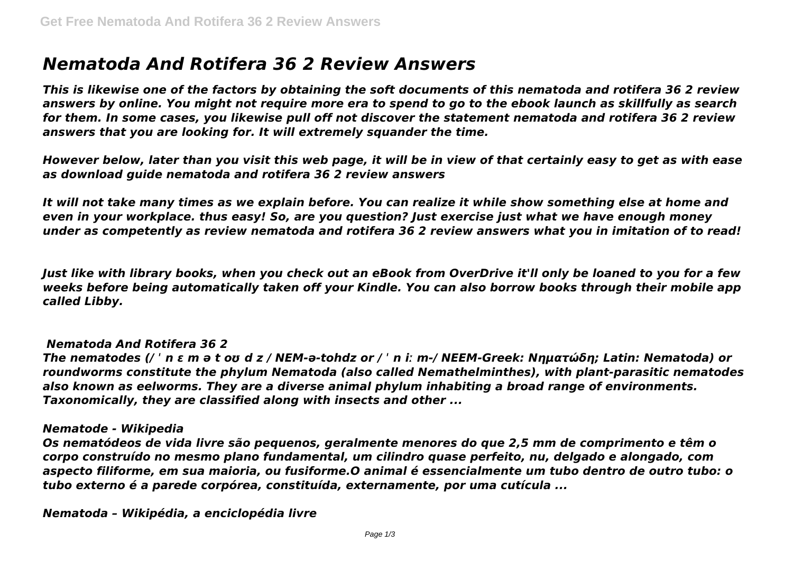# *Nematoda And Rotifera 36 2 Review Answers*

*This is likewise one of the factors by obtaining the soft documents of this nematoda and rotifera 36 2 review answers by online. You might not require more era to spend to go to the ebook launch as skillfully as search for them. In some cases, you likewise pull off not discover the statement nematoda and rotifera 36 2 review answers that you are looking for. It will extremely squander the time.*

*However below, later than you visit this web page, it will be in view of that certainly easy to get as with ease as download guide nematoda and rotifera 36 2 review answers*

*It will not take many times as we explain before. You can realize it while show something else at home and even in your workplace. thus easy! So, are you question? Just exercise just what we have enough money under as competently as review nematoda and rotifera 36 2 review answers what you in imitation of to read!*

*Just like with library books, when you check out an eBook from OverDrive it'll only be loaned to you for a few weeks before being automatically taken off your Kindle. You can also borrow books through their mobile app called Libby.*

#### *Nematoda And Rotifera 36 2*

*The nematodes (/ ˈ n ɛ m ə t oʊ d z / NEM-ə-tohdz or / ˈ n iː m-/ NEEM-Greek: Νηματώδη; Latin: Nematoda) or roundworms constitute the phylum Nematoda (also called Nemathelminthes), with plant-parasitic nematodes also known as eelworms. They are a diverse animal phylum inhabiting a broad range of environments. Taxonomically, they are classified along with insects and other ...*

#### *Nematode - Wikipedia*

*Os nematódeos de vida livre são pequenos, geralmente menores do que 2,5 mm de comprimento e têm o corpo construído no mesmo plano fundamental, um cilindro quase perfeito, nu, delgado e alongado, com aspecto filiforme, em sua maioria, ou fusiforme.O animal é essencialmente um tubo dentro de outro tubo: o tubo externo é a parede corpórea, constituída, externamente, por uma cutícula ...*

*Nematoda – Wikipédia, a enciclopédia livre*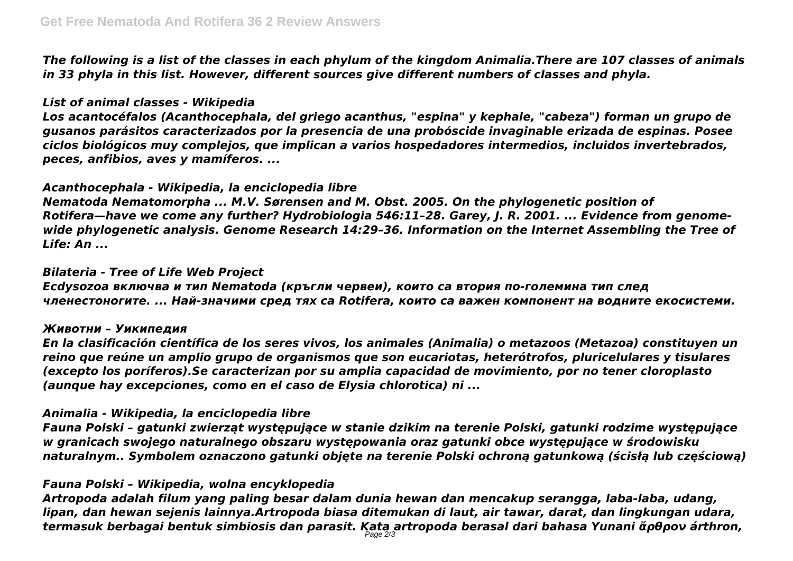*The following is a list of the classes in each phylum of the kingdom Animalia.There are 107 classes of animals in 33 phyla in this list. However, different sources give different numbers of classes and phyla.*

# *List of animal classes - Wikipedia*

*Los acantocéfalos (Acanthocephala, del griego acanthus, "espina" y kephale, "cabeza") forman un grupo de gusanos parásitos caracterizados por la presencia de una probóscide invaginable erizada de espinas. Posee ciclos biológicos muy complejos, que implican a varios hospedadores intermedios, incluidos invertebrados, peces, anfibios, aves y mamíferos. ...*

# *Acanthocephala - Wikipedia, la enciclopedia libre*

*Nematoda Nematomorpha ... M.V. Sørensen and M. Obst. 2005. On the phylogenetic position of Rotifera—have we come any further? Hydrobiologia 546:11–28. Garey, J. R. 2001. ... Evidence from genomewide phylogenetic analysis. Genome Research 14:29–36. Information on the Internet Assembling the Tree of Life: An ...*

# *Bilateria - Tree of Life Web Project*

*Ecdysozoa включва и тип Nematoda (кръгли червеи), които са втория по-големина тип след членестоногите. ... Най-значими сред тях са Rotifera, които са важен компонент на водните екосистеми.*

## *Животни – Уикипедия*

*En la clasificación científica de los seres vivos, los animales (Animalia) o metazoos (Metazoa) constituyen un reino que reúne un amplio grupo de organismos que son eucariotas, heterótrofos, pluricelulares y tisulares (excepto los poríferos).Se caracterizan por su amplia capacidad de movimiento, por no tener cloroplasto (aunque hay excepciones, como en el caso de Elysia chlorotica) ni ...*

# *Animalia - Wikipedia, la enciclopedia libre*

*Fauna Polski – gatunki zwierząt występujące w stanie dzikim na terenie Polski, gatunki rodzime występujące w granicach swojego naturalnego obszaru występowania oraz gatunki obce występujące w środowisku naturalnym.. Symbolem oznaczono gatunki objęte na terenie Polski ochroną gatunkową (ścisłą lub częściową)*

# *Fauna Polski – Wikipedia, wolna encyklopedia*

*Artropoda adalah filum yang paling besar dalam dunia hewan dan mencakup serangga, laba-laba, udang, lipan, dan hewan sejenis lainnya.Artropoda biasa ditemukan di laut, air tawar, darat, dan lingkungan udara, termasuk berbagai bentuk simbiosis dan parasit. Kata artropoda berasal dari bahasa Yunani ἄρθρον árthron,* Page 2/3